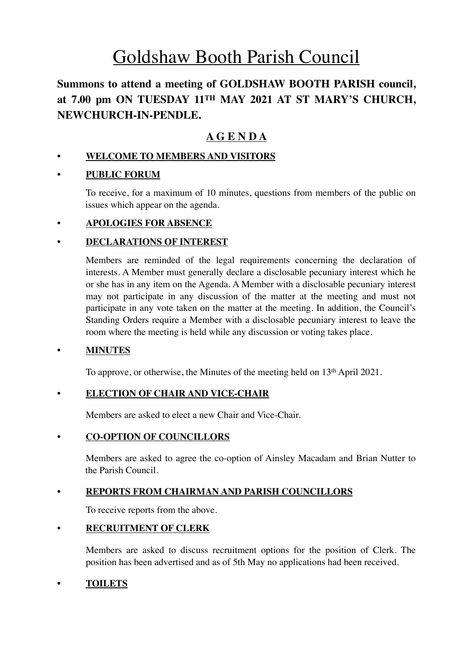# Goldshaw Booth Parish Council

# **Summons to attend a meeting of GOLDSHAW BOOTH PARISH council, at 7.00 pm ON TUESDAY 11TH MAY 2021 AT ST MARY'S CHURCH, NEWCHURCH-IN-PENDLE.**

# **A G E N D A**

# **• WELCOME TO MEMBERS AND VISITORS**

# **• PUBLIC FORUM**

To receive, for a maximum of 10 minutes, questions from members of the public on issues which appear on the agenda.

# **• APOLOGIES FOR ABSENCE**

# **• DECLARATIONS OF INTEREST**

Members are reminded of the legal requirements concerning the declaration of interests. A Member must generally declare a disclosable pecuniary interest which he or she has in any item on the Agenda. A Member with a disclosable pecuniary interest may not participate in any discussion of the matter at the meeting and must not participate in any vote taken on the matter at the meeting. In addition, the Council's Standing Orders require a Member with a disclosable pecuniary interest to leave the room where the meeting is held while any discussion or voting takes place.

# **• MINUTES**

To approve, or otherwise, the Minutes of the meeting held on 13th April 2021.

# **• ELECTION OF CHAIR AND VICE-CHAIR**

Members are asked to elect a new Chair and Vice-Chair.

# **• CO-OPTION OF COUNCILLORS**

Members are asked to agree the co-option of Ainsley Macadam and Brian Nutter to the Parish Council.

# **• REPORTS FROM CHAIRMAN AND PARISH COUNCILLORS**

To receive reports from the above.

# **• RECRUITMENT OF CLERK**

Members are asked to discuss recruitment options for the position of Clerk. The position has been advertised and as of 5th May no applications had been received.

# **• TOILETS**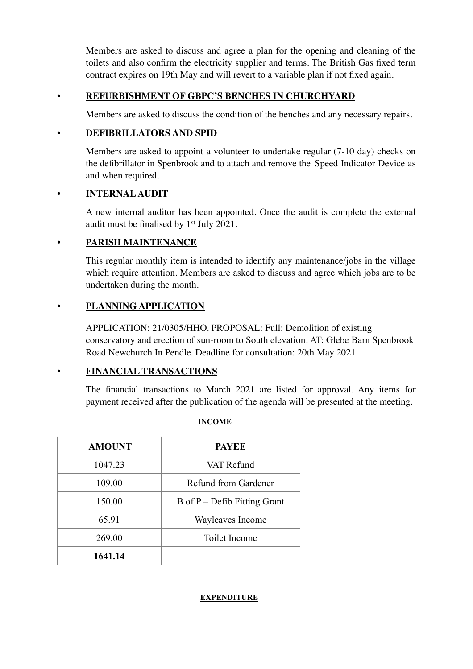Members are asked to discuss and agree a plan for the opening and cleaning of the toilets and also confirm the electricity supplier and terms. The British Gas fixed term contract expires on 19th May and will revert to a variable plan if not fixed again.

# **• REFURBISHMENT OF GBPC'S BENCHES IN CHURCHYARD**

Members are asked to discuss the condition of the benches and any necessary repairs.

# **• DEFIBRILLATORS AND SPID**

Members are asked to appoint a volunteer to undertake regular (7-10 day) checks on the defibrillator in Spenbrook and to attach and remove the Speed Indicator Device as and when required.

# • **INTERNAL AUDIT**

A new internal auditor has been appointed. Once the audit is complete the external audit must be finalised by 1st July 2021.

# **• PARISH MAINTENANCE**

This regular monthly item is intended to identify any maintenance/jobs in the village which require attention. Members are asked to discuss and agree which jobs are to be undertaken during the month.

# **• PLANNING APPLICATION**

APPLICATION: 21/0305/HHO. PROPOSAL: Full: Demolition of existing conservatory and erection of sun-room to South elevation. AT: Glebe Barn Spenbrook Road Newchurch In Pendle. Deadline for consultation: 20th May 2021

# **• FINANCIAL TRANSACTIONS**

The financial transactions to March 2021 are listed for approval. Any items for payment received after the publication of the agenda will be presented at the meeting.

| <b>AMOUNT</b> | <b>PAYEE</b>                 |  |
|---------------|------------------------------|--|
| 1047.23       | VAT Refund                   |  |
| 109.00        | Refund from Gardener         |  |
| 150.00        | B of P – Defib Fitting Grant |  |
| 65.91         | Wayleaves Income             |  |
| 269.00        | Toilet Income                |  |
| 1641.14       |                              |  |

# **INCOME**

#### **EXPENDITURE**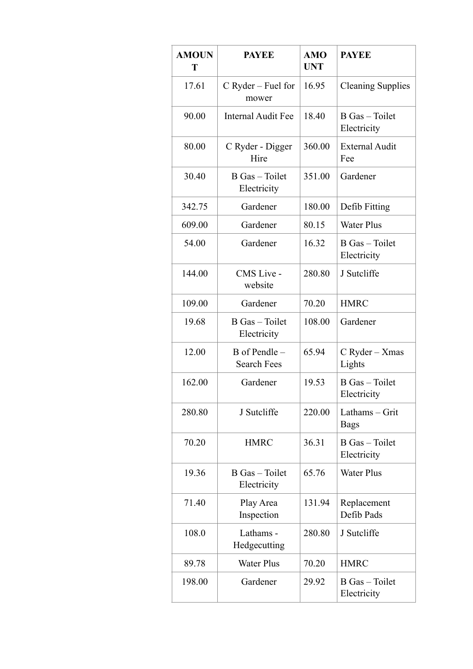| <b>AMOUN</b><br>T | <b>PAYEE</b>                          | <b>AMO</b><br><b>UNT</b> | <b>PAYEE</b>                  |
|-------------------|---------------------------------------|--------------------------|-------------------------------|
| 17.61             | $C$ Ryder – Fuel for<br>mower         | 16.95                    | <b>Cleaning Supplies</b>      |
| 90.00             | Internal Audit Fee                    | 18.40                    | B Gas - Toilet<br>Electricity |
| 80.00             | C Ryder - Digger<br>Hire              | 360.00                   | <b>External Audit</b><br>Fee  |
| 30.40             | B Gas - Toilet<br>Electricity         | 351.00                   | Gardener                      |
| 342.75            | Gardener                              | 180.00                   | Defib Fitting                 |
| 609.00            | Gardener                              | 80.15                    | <b>Water Plus</b>             |
| 54.00             | Gardener                              | 16.32                    | B Gas - Toilet<br>Electricity |
| 144.00            | CMS Live -<br>website                 | 280.80                   | J Sutcliffe                   |
| 109.00            | Gardener                              | 70.20                    | <b>HMRC</b>                   |
| 19.68             | B Gas - Toilet<br>Electricity         | 108.00                   | Gardener                      |
| 12.00             | $B$ of Pendle –<br><b>Search Fees</b> | 65.94                    | C Ryder - Xmas<br>Lights      |
| 162.00            | Gardener                              | 19.53                    | B Gas - Toilet<br>Electricity |
| 280.80            | J Sutcliffe                           | 220.00                   | Lathams - Grit<br><b>Bags</b> |
| 70.20             | <b>HMRC</b>                           | 36.31                    | B Gas - Toilet<br>Electricity |
| 19.36             | B Gas - Toilet<br>Electricity         | 65.76                    | <b>Water Plus</b>             |
| 71.40             | Play Area<br>Inspection               | 131.94                   | Replacement<br>Defib Pads     |
| 108.0             | Lathams -<br>Hedgecutting             | 280.80                   | J Sutcliffe                   |
| 89.78             | <b>Water Plus</b>                     | 70.20                    | <b>HMRC</b>                   |
| 198.00            | Gardener                              | 29.92                    | B Gas - Toilet<br>Electricity |